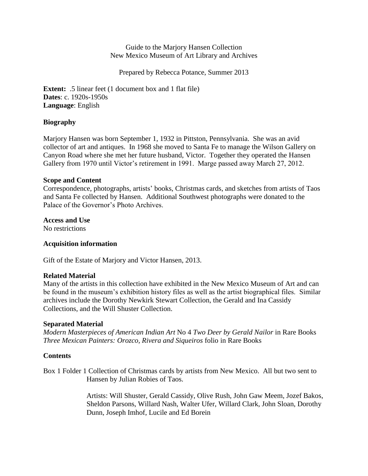Guide to the Marjory Hansen Collection New Mexico Museum of Art Library and Archives

Prepared by Rebecca Potance, Summer 2013

**Extent:** .5 linear feet (1 document box and 1 flat file) **Dates**: c. 1920s-1950s **Language**: English

# **Biography**

Marjory Hansen was born September 1, 1932 in Pittston, Pennsylvania. She was an avid collector of art and antiques. In 1968 she moved to Santa Fe to manage the Wilson Gallery on Canyon Road where she met her future husband, Victor. Together they operated the Hansen Gallery from 1970 until Victor's retirement in 1991. Marge passed away March 27, 2012.

## **Scope and Content**

Correspondence, photographs, artists' books, Christmas cards, and sketches from artists of Taos and Santa Fe collected by Hansen. Additional Southwest photographs were donated to the Palace of the Governor's Photo Archives.

**Access and Use** No restrictions

## **Acquisition information**

Gift of the Estate of Marjory and Victor Hansen, 2013.

## **Related Material**

Many of the artists in this collection have exhibited in the New Mexico Museum of Art and can be found in the museum's exhibition history files as well as the artist biographical files. Similar archives include the Dorothy Newkirk Stewart Collection, the Gerald and Ina Cassidy Collections, and the Will Shuster Collection.

## **Separated Material**

*Modern Masterpieces of American Indian Art* No 4 *Two Deer by Gerald Nailor* in Rare Books *Three Mexican Painters: Orozco, Rivera and Siqueiros* folio in Rare Books

## **Contents**

Box 1 Folder 1 Collection of Christmas cards by artists from New Mexico. All but two sent to Hansen by Julian Robies of Taos.

> Artists: Will Shuster, Gerald Cassidy, Olive Rush, John Gaw Meem, Jozef Bakos, Sheldon Parsons, Willard Nash, Walter Ufer, Willard Clark, John Sloan, Dorothy Dunn, Joseph Imhof, Lucile and Ed Borein